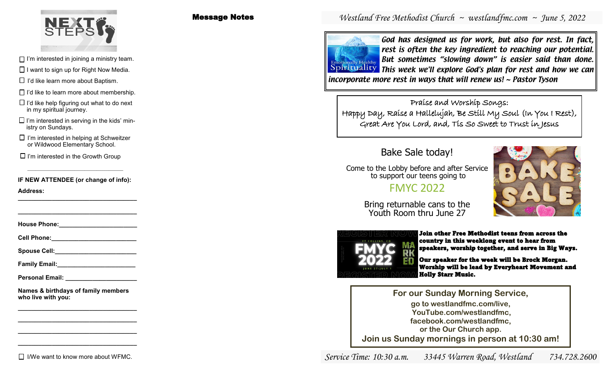

- $\Box$  I'm interested in joining a ministry team.
- $\Box$  I want to sign up for Right Now Media.
- $\Box$  I'd like learn more about Baptism.
- $\Box$  I'd like to learn more about membership.
- $\Box$  I'd like help figuring out what to do next in my spiritual journey.
- $\Box$  I'm interested in serving in the kids' ministry on Sundays.
- $\Box$  I'm interested in helping at Schweitzer or Wildwood Elementary School.
- $\Box$  I'm interested in the Growth Group

**IF NEW ATTENDEE (or change of info):**

**Address: \_\_\_\_\_\_\_\_\_\_\_\_\_\_\_\_\_\_\_\_\_\_\_\_\_\_\_\_\_\_\_\_\_\_\_**

**House Phone:** 

**\_\_\_\_\_\_\_\_\_\_\_\_\_\_\_\_\_\_\_\_\_\_\_\_\_\_\_\_\_\_\_\_\_\_\_**

**Cell Phone:** 

Spouse Cell:

**Family Email:\_\_\_\_\_\_\_\_\_\_\_\_\_\_\_\_\_\_\_\_\_\_\_**

**Personal Email: \_\_\_\_\_\_\_\_\_\_\_\_\_\_\_\_\_\_\_\_\_**

**Names & birthdays of family members who live with you:**

**\_\_\_\_\_\_\_\_\_\_\_\_\_\_\_\_\_\_\_\_\_\_\_\_\_\_\_\_\_\_\_\_\_\_\_ \_\_\_\_\_\_\_\_\_\_\_\_\_\_\_\_\_\_\_\_\_\_\_\_\_\_\_\_\_\_\_\_\_\_\_ \_\_\_\_\_\_\_\_\_\_\_\_\_\_\_\_\_\_\_\_\_\_\_\_\_\_\_\_\_\_\_\_\_\_\_ \_\_\_\_\_\_\_\_\_\_\_\_\_\_\_\_\_\_\_\_\_\_\_\_\_\_\_\_\_\_\_\_\_\_\_**

 $\Pi$  I/We want to know more about WFMC.

### Message Notes

## *Westland Free Methodist Church ~ westlandfmc.com ~ June 5, 2022*

ally Healthy

God has designed us for work, but also for rest. In fact, rest is often the key ingredient to reaching our potential. But sometimes "slowing down" is easier said than done. Spirituality This week we'll explore God's plan for rest and how we can incorporate more rest in ways that will renew us! ~ Pastor Tyson

Praise and Worship Songs: Happy Day, Raise a Hallelujah, Be Still My Soul (In You I Rest), Great Are You Lord, and, Tis So Sweet to Trust in Jesus

# Bake Sale today!

Come to the Lobby before and after Service to support our teens going to

# FMYC 2022



Bring returnable cans to the Youth Room thru June 27



Join other Free Methodist teens from across the country in this weeklong event to hear from speakers, worship together, and serve in Big Ways.

Our speaker for the week will be Brock Morgan. Worship will be lead by Everyheart Movement and Holly Starr Music.

**For our Sunday Morning Service, go to westlandfmc.com/live, YouTube.com/westlandfmc, facebook.com/westlandfmc, or the Our Church app. Join us Sunday mornings in person at 10:30 am!**